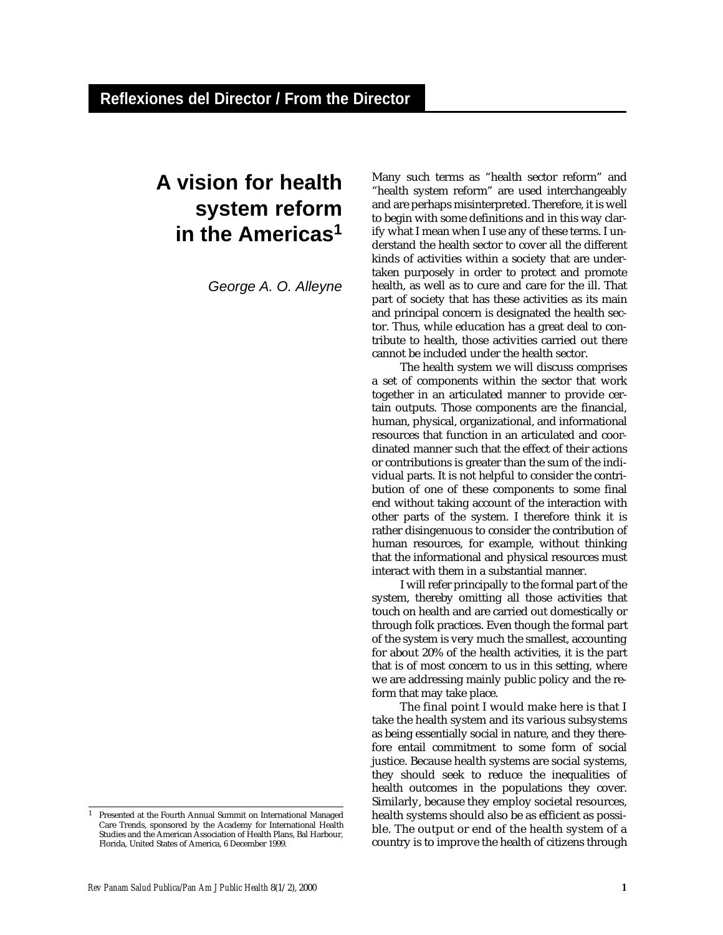## **A vision for health system reform in the Americas<sup>1</sup>**

*George A. O. Alleyne*

Many such terms as "health sector reform" and "health system reform" are used interchangeably and are perhaps misinterpreted. Therefore, it is well to begin with some definitions and in this way clarify what I mean when I use any of these terms. I understand the health sector to cover all the different kinds of activities within a society that are undertaken purposely in order to protect and promote health, as well as to cure and care for the ill. That part of society that has these activities as its main and principal concern is designated the health sector. Thus, while education has a great deal to contribute to health, those activities carried out there cannot be included under the health sector.

The health system we will discuss comprises a set of components within the sector that work together in an articulated manner to provide certain outputs. Those components are the financial, human, physical, organizational, and informational resources that function in an articulated and coordinated manner such that the effect of their actions or contributions is greater than the sum of the individual parts. It is not helpful to consider the contribution of one of these components to some final end without taking account of the interaction with other parts of the system. I therefore think it is rather disingenuous to consider the contribution of human resources, for example, without thinking that the informational and physical resources must interact with them in a substantial manner.

I will refer principally to the formal part of the system, thereby omitting all those activities that touch on health and are carried out domestically or through folk practices. Even though the formal part of the system is very much the smallest, accounting for about 20% of the health activities, it is the part that is of most concern to us in this setting, where we are addressing mainly public policy and the reform that may take place.

The final point I would make here is that I take the health system and its various subsystems as being essentially social in nature, and they therefore entail commitment to some form of social justice. Because health systems are social systems, they should seek to reduce the inequalities of health outcomes in the populations they cover. Similarly, because they employ societal resources, health systems should also be as efficient as possible. The output or end of the health system of a country is to improve the health of citizens through

<sup>1</sup> Presented at the Fourth Annual Summit on International Managed Care Trends, sponsored by the Academy for International Health Studies and the American Association of Health Plans, Bal Harbour, Florida, United States of America, 6 December 1999.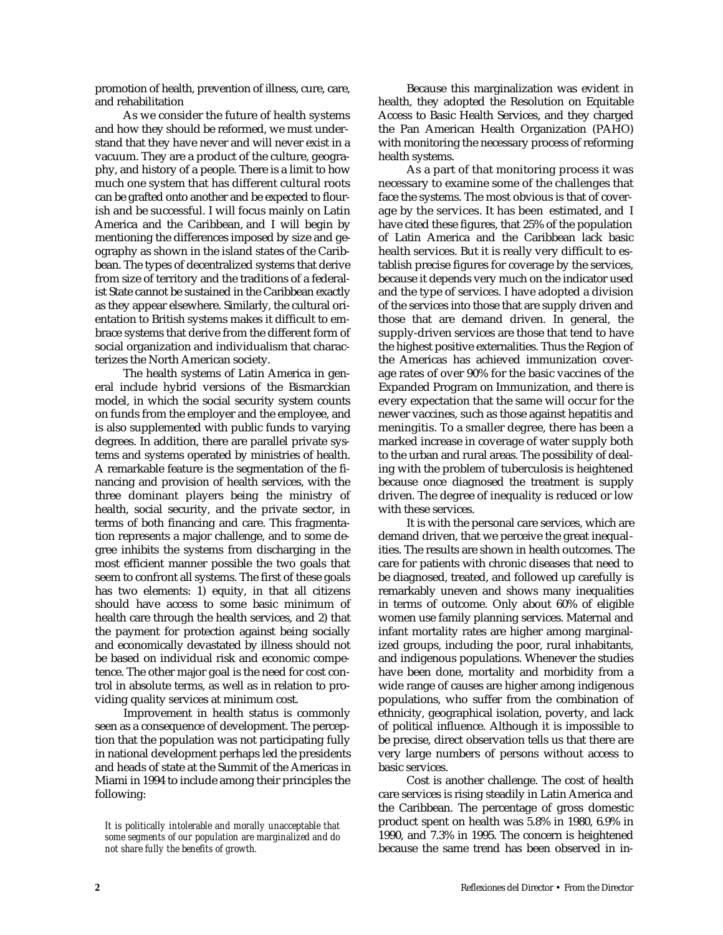promotion of health, prevention of illness, cure, care, and rehabilitation

As we consider the future of health systems and how they should be reformed, we must understand that they have never and will never exist in a vacuum. They are a product of the culture, geography, and history of a people. There is a limit to how much one system that has different cultural roots can be grafted onto another and be expected to flourish and be successful. I will focus mainly on Latin America and the Caribbean, and I will begin by mentioning the differences imposed by size and geography as shown in the island states of the Caribbean. The types of decentralized systems that derive from size of territory and the traditions of a federalist State cannot be sustained in the Caribbean exactly as they appear elsewhere. Similarly, the cultural orientation to British systems makes it difficult to embrace systems that derive from the different form of social organization and individualism that characterizes the North American society.

The health systems of Latin America in general include hybrid versions of the Bismarckian model, in which the social security system counts on funds from the employer and the employee, and is also supplemented with public funds to varying degrees. In addition, there are parallel private systems and systems operated by ministries of health. A remarkable feature is the segmentation of the financing and provision of health services, with the three dominant players being the ministry of health, social security, and the private sector, in terms of both financing and care. This fragmentation represents a major challenge, and to some degree inhibits the systems from discharging in the most efficient manner possible the two goals that seem to confront all systems. The first of these goals has two elements: 1) equity, in that all citizens should have access to some basic minimum of health care through the health services, and 2) that the payment for protection against being socially and economically devastated by illness should not be based on individual risk and economic competence. The other major goal is the need for cost control in absolute terms, as well as in relation to providing quality services at minimum cost.

Improvement in health status is commonly seen as a consequence of development. The perception that the population was not participating fully in national development perhaps led the presidents and heads of state at the Summit of the Americas in Miami in 1994 to include among their principles the following:

Because this marginalization was evident in health, they adopted the Resolution on Equitable Access to Basic Health Services, and they charged the Pan American Health Organization (PAHO) with monitoring the necessary process of reforming health systems.

As a part of that monitoring process it was necessary to examine some of the challenges that face the systems. The most obvious is that of coverage by the services. It has been estimated, and I have cited these figures, that 25% of the population of Latin America and the Caribbean lack basic health services. But it is really very difficult to establish precise figures for coverage by the services, because it depends very much on the indicator used and the type of services. I have adopted a division of the services into those that are supply driven and those that are demand driven. In general, the supply-driven services are those that tend to have the highest positive externalities. Thus the Region of the Americas has achieved immunization coverage rates of over 90% for the basic vaccines of the Expanded Program on Immunization, and there is every expectation that the same will occur for the newer vaccines, such as those against hepatitis and meningitis. To a smaller degree, there has been a marked increase in coverage of water supply both to the urban and rural areas. The possibility of dealing with the problem of tuberculosis is heightened because once diagnosed the treatment is supply driven. The degree of inequality is reduced or low with these services.

It is with the personal care services, which are demand driven, that we perceive the great inequalities. The results are shown in health outcomes. The care for patients with chronic diseases that need to be diagnosed, treated, and followed up carefully is remarkably uneven and shows many inequalities in terms of outcome. Only about 60% of eligible women use family planning services. Maternal and infant mortality rates are higher among marginalized groups, including the poor, rural inhabitants, and indigenous populations. Whenever the studies have been done, mortality and morbidity from a wide range of causes are higher among indigenous populations, who suffer from the combination of ethnicity, geographical isolation, poverty, and lack of political influence. Although it is impossible to be precise, direct observation tells us that there are very large numbers of persons without access to basic services.

Cost is another challenge. The cost of health care services is rising steadily in Latin America and the Caribbean. The percentage of gross domestic product spent on health was 5.8% in 1980, 6.9% in 1990, and 7.3% in 1995. The concern is heightened because the same trend has been observed in in-

*It is politically intolerable and morally unacceptable that some segments of our population are marginalized and do not share fully the benefits of growth.*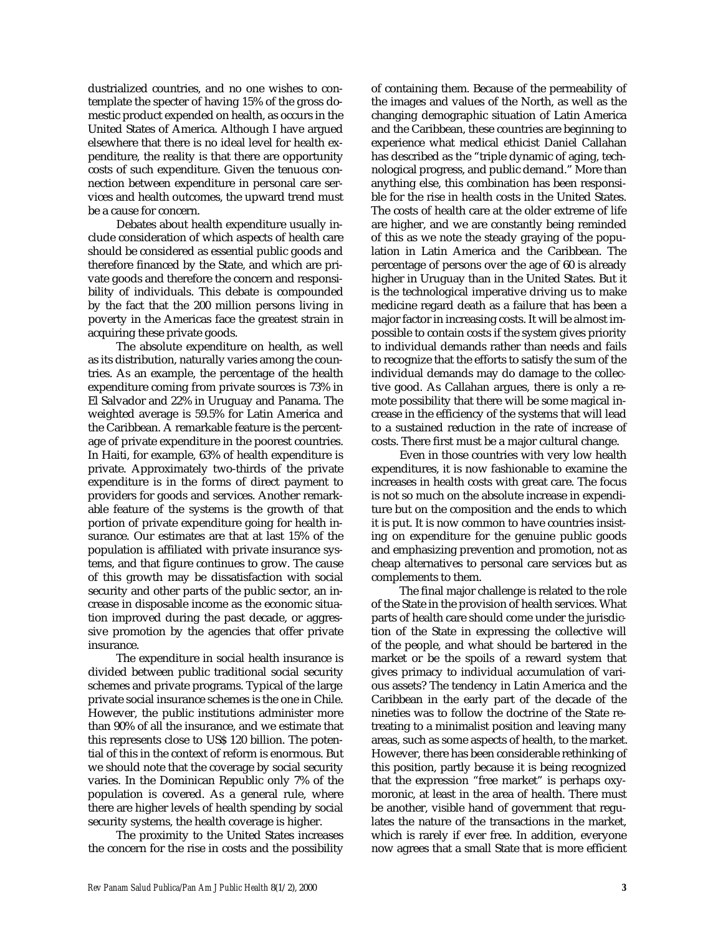dustrialized countries, and no one wishes to contemplate the specter of having 15% of the gross domestic product expended on health, as occurs in the United States of America. Although I have argued elsewhere that there is no ideal level for health expenditure, the reality is that there are opportunity costs of such expenditure. Given the tenuous connection between expenditure in personal care services and health outcomes, the upward trend must be a cause for concern.

Debates about health expenditure usually include consideration of which aspects of health care should be considered as essential public goods and therefore financed by the State, and which are private goods and therefore the concern and responsibility of individuals. This debate is compounded by the fact that the 200 million persons living in poverty in the Americas face the greatest strain in acquiring these private goods.

The absolute expenditure on health, as well as its distribution, naturally varies among the countries. As an example, the percentage of the health expenditure coming from private sources is 73% in El Salvador and 22% in Uruguay and Panama. The weighted average is 59.5% for Latin America and the Caribbean. A remarkable feature is the percentage of private expenditure in the poorest countries. In Haiti, for example, 63% of health expenditure is private. Approximately two-thirds of the private expenditure is in the forms of direct payment to providers for goods and services. Another remarkable feature of the systems is the growth of that portion of private expenditure going for health insurance. Our estimates are that at last 15% of the population is affiliated with private insurance systems, and that figure continues to grow. The cause of this growth may be dissatisfaction with social security and other parts of the public sector, an increase in disposable income as the economic situation improved during the past decade, or aggressive promotion by the agencies that offer private insurance.

The expenditure in social health insurance is divided between public traditional social security schemes and private programs. Typical of the large private social insurance schemes is the one in Chile. However, the public institutions administer more than 90% of all the insurance, and we estimate that this represents close to US\$ 120 billion. The potential of this in the context of reform is enormous. But we should note that the coverage by social security varies. In the Dominican Republic only 7% of the population is covered. As a general rule, where there are higher levels of health spending by social security systems, the health coverage is higher.

The proximity to the United States increases the concern for the rise in costs and the possibility of containing them. Because of the permeability of the images and values of the North, as well as the changing demographic situation of Latin America and the Caribbean, these countries are beginning to experience what medical ethicist Daniel Callahan has described as the "triple dynamic of aging, technological progress, and public demand." More than anything else, this combination has been responsible for the rise in health costs in the United States. The costs of health care at the older extreme of life are higher, and we are constantly being reminded of this as we note the steady graying of the population in Latin America and the Caribbean. The percentage of persons over the age of 60 is already higher in Uruguay than in the United States. But it is the technological imperative driving us to make medicine regard death as a failure that has been a major factor in increasing costs. It will be almost impossible to contain costs if the system gives priority to individual demands rather than needs and fails to recognize that the efforts to satisfy the sum of the individual demands may do damage to the collective good. As Callahan argues, there is only a remote possibility that there will be some magical increase in the efficiency of the systems that will lead to a sustained reduction in the rate of increase of costs. There first must be a major cultural change.

Even in those countries with very low health expenditures, it is now fashionable to examine the increases in health costs with great care. The focus is not so much on the absolute increase in expenditure but on the composition and the ends to which it is put. It is now common to have countries insisting on expenditure for the genuine public goods and emphasizing prevention and promotion, not as cheap alternatives to personal care services but as complements to them.

The final major challenge is related to the role of the State in the provision of health services. What parts of health care should come under the jurisdiction of the State in expressing the collective will of the people, and what should be bartered in the market or be the spoils of a reward system that gives primacy to individual accumulation of various assets? The tendency in Latin America and the Caribbean in the early part of the decade of the nineties was to follow the doctrine of the State retreating to a minimalist position and leaving many areas, such as some aspects of health, to the market. However, there has been considerable rethinking of this position, partly because it is being recognized that the expression "free market" is perhaps oxymoronic, at least in the area of health. There must be another, visible hand of government that regulates the nature of the transactions in the market, which is rarely if ever free. In addition, everyone now agrees that a small State that is more efficient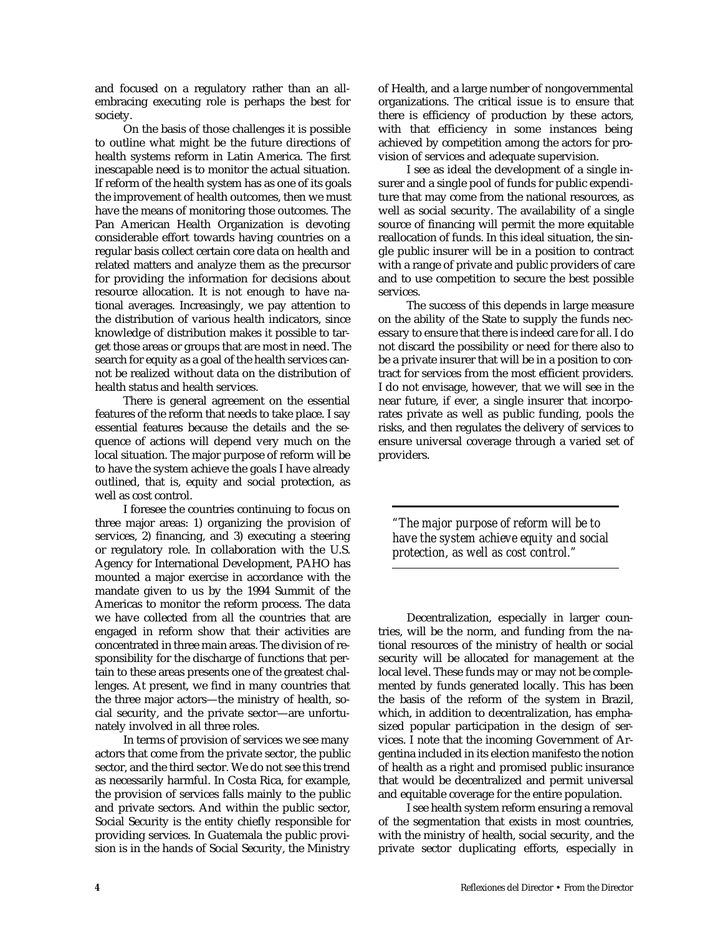and focused on a regulatory rather than an allembracing executing role is perhaps the best for society.

On the basis of those challenges it is possible to outline what might be the future directions of health systems reform in Latin America. The first inescapable need is to monitor the actual situation. If reform of the health system has as one of its goals the improvement of health outcomes, then we must have the means of monitoring those outcomes. The Pan American Health Organization is devoting considerable effort towards having countries on a regular basis collect certain core data on health and related matters and analyze them as the precursor for providing the information for decisions about resource allocation. It is not enough to have national averages. Increasingly, we pay attention to the distribution of various health indicators, since knowledge of distribution makes it possible to target those areas or groups that are most in need. The search for equity as a goal of the health services cannot be realized without data on the distribution of health status and health services.

There is general agreement on the essential features of the reform that needs to take place. I say essential features because the details and the sequence of actions will depend very much on the local situation. The major purpose of reform will be to have the system achieve the goals I have already outlined, that is, equity and social protection, as well as cost control.

I foresee the countries continuing to focus on three major areas: 1) organizing the provision of services, 2) financing, and 3) executing a steering or regulatory role. In collaboration with the U.S. Agency for International Development, PAHO has mounted a major exercise in accordance with the mandate given to us by the 1994 Summit of the Americas to monitor the reform process. The data we have collected from all the countries that are engaged in reform show that their activities are concentrated in three main areas. The division of responsibility for the discharge of functions that pertain to these areas presents one of the greatest challenges. At present, we find in many countries that the three major actors—the ministry of health, social security, and the private sector—are unfortunately involved in all three roles.

In terms of provision of services we see many actors that come from the private sector, the public sector, and the third sector. We do not see this trend as necessarily harmful. In Costa Rica, for example, the provision of services falls mainly to the public and private sectors. And within the public sector, Social Security is the entity chiefly responsible for providing services. In Guatemala the public provision is in the hands of Social Security, the Ministry of Health, and a large number of nongovernmental organizations. The critical issue is to ensure that there is efficiency of production by these actors, with that efficiency in some instances being achieved by competition among the actors for provision of services and adequate supervision.

I see as ideal the development of a single insurer and a single pool of funds for public expenditure that may come from the national resources, as well as social security. The availability of a single source of financing will permit the more equitable reallocation of funds. In this ideal situation, the single public insurer will be in a position to contract with a range of private and public providers of care and to use competition to secure the best possible services.

The success of this depends in large measure on the ability of the State to supply the funds necessary to ensure that there is indeed care for all. I do not discard the possibility or need for there also to be a private insurer that will be in a position to contract for services from the most efficient providers. I do not envisage, however, that we will see in the near future, if ever, a single insurer that incorporates private as well as public funding, pools the risks, and then regulates the delivery of services to ensure universal coverage through a varied set of providers.

*"The major purpose of reform will be to have the system achieve equity and social protection, as well as cost control."*

Decentralization, especially in larger countries, will be the norm, and funding from the national resources of the ministry of health or social security will be allocated for management at the local level. These funds may or may not be complemented by funds generated locally. This has been the basis of the reform of the system in Brazil, which, in addition to decentralization, has emphasized popular participation in the design of services. I note that the incoming Government of Argentina included in its election manifesto the notion of health as a right and promised public insurance that would be decentralized and permit universal and equitable coverage for the entire population.

I see health system reform ensuring a removal of the segmentation that exists in most countries, with the ministry of health, social security, and the private sector duplicating efforts, especially in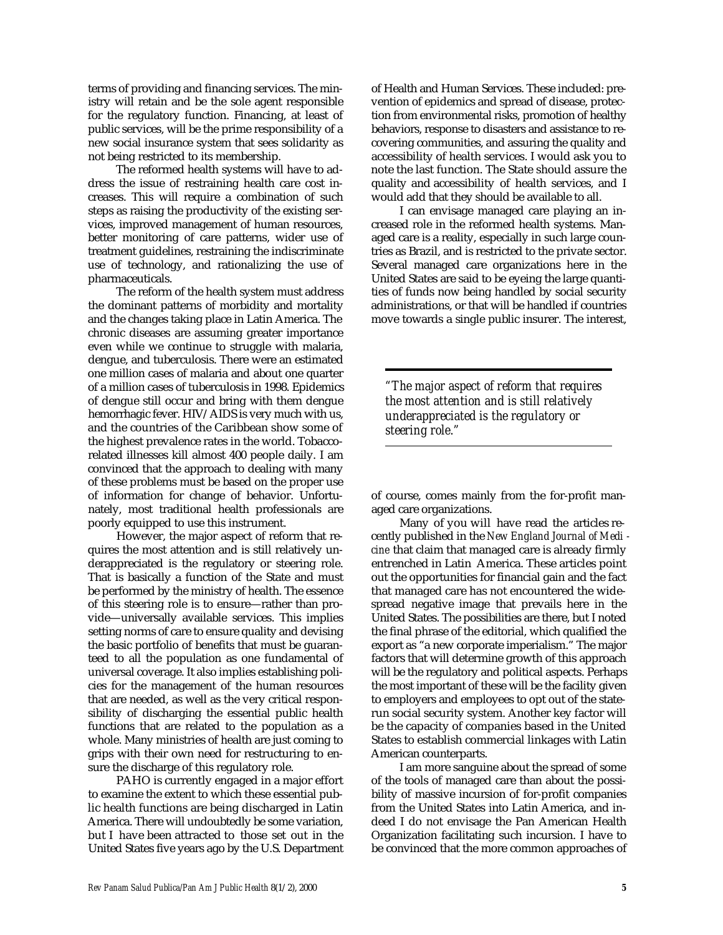terms of providing and financing services. The ministry will retain and be the sole agent responsible for the regulatory function. Financing, at least of public services, will be the prime responsibility of a new social insurance system that sees solidarity as not being restricted to its membership.

The reformed health systems will have to address the issue of restraining health care cost increases. This will require a combination of such steps as raising the productivity of the existing services, improved management of human resources, better monitoring of care patterns, wider use of treatment guidelines, restraining the indiscriminate use of technology, and rationalizing the use of pharmaceuticals.

The reform of the health system must address the dominant patterns of morbidity and mortality and the changes taking place in Latin America. The chronic diseases are assuming greater importance even while we continue to struggle with malaria, dengue, and tuberculosis. There were an estimated one million cases of malaria and about one quarter of a million cases of tuberculosis in 1998. Epidemics of dengue still occur and bring with them dengue hemorrhagic fever. HIV/AIDS is very much with us, and the countries of the Caribbean show some of the highest prevalence rates in the world. Tobaccorelated illnesses kill almost 400 people daily. I am convinced that the approach to dealing with many of these problems must be based on the proper use of information for change of behavior. Unfortunately, most traditional health professionals are poorly equipped to use this instrument.

However, the major aspect of reform that requires the most attention and is still relatively underappreciated is the regulatory or steering role. That is basically a function of the State and must be performed by the ministry of health. The essence of this steering role is to ensure—rather than provide—universally available services. This implies setting norms of care to ensure quality and devising the basic portfolio of benefits that must be guaranteed to all the population as one fundamental of universal coverage. It also implies establishing policies for the management of the human resources that are needed, as well as the very critical responsibility of discharging the essential public health functions that are related to the population as a whole. Many ministries of health are just coming to grips with their own need for restructuring to ensure the discharge of this regulatory role.

PAHO is currently engaged in a major effort to examine the extent to which these essential public health functions are being discharged in Latin America. There will undoubtedly be some variation, but I have been attracted to those set out in the United States five years ago by the U.S. Department of Health and Human Services. These included: prevention of epidemics and spread of disease, protection from environmental risks, promotion of healthy behaviors, response to disasters and assistance to recovering communities, and assuring the quality and accessibility of health services. I would ask you to note the last function. The State should assure the quality and accessibility of health services, and I would add that they should be available to all.

I can envisage managed care playing an increased role in the reformed health systems. Managed care is a reality, especially in such large countries as Brazil, and is restricted to the private sector. Several managed care organizations here in the United States are said to be eyeing the large quantities of funds now being handled by social security administrations, or that will be handled if countries move towards a single public insurer. The interest,

*"The major aspect of reform that requires the most attention and is still relatively underappreciated is the regulatory or steering role."*

of course, comes mainly from the for-profit managed care organizations.

Many of you will have read the articles recently published in the *New England Journal of Medi*  cine that claim that managed care is already firmly entrenched in Latin America. These articles point out the opportunities for financial gain and the fact that managed care has not encountered the widespread negative image that prevails here in the United States. The possibilities are there, but I noted the final phrase of the editorial, which qualified the export as "a new corporate imperialism." The major factors that will determine growth of this approach will be the regulatory and political aspects. Perhaps the most important of these will be the facility given to employers and employees to opt out of the staterun social security system. Another key factor will be the capacity of companies based in the United States to establish commercial linkages with Latin American counterparts.

I am more sanguine about the spread of some of the tools of managed care than about the possibility of massive incursion of for-profit companies from the United States into Latin America, and indeed I do not envisage the Pan American Health Organization facilitating such incursion. I have to be convinced that the more common approaches of